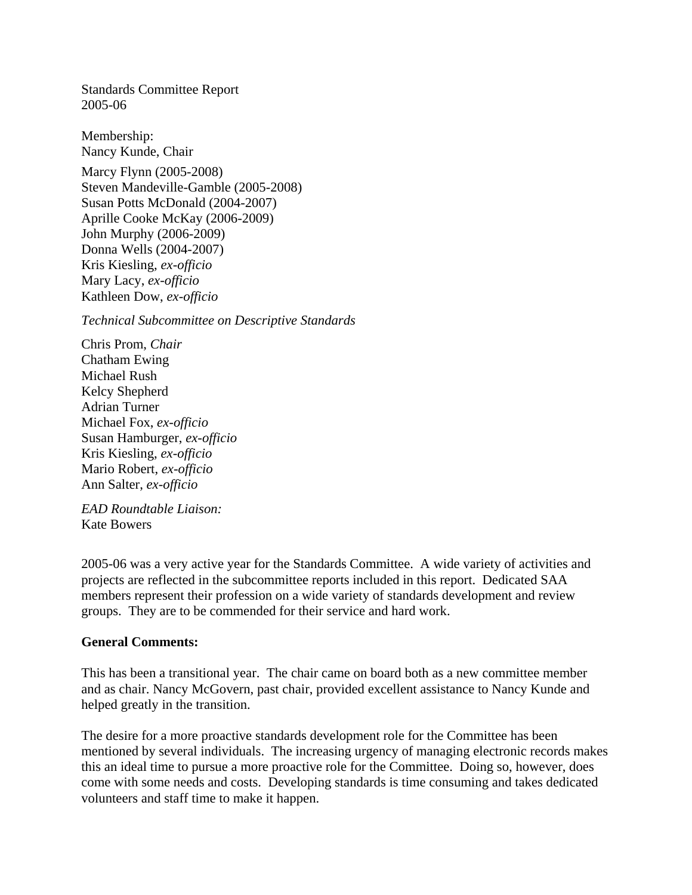Standards Committee Report 2005-06

Membership: Nancy Kunde, Chair

Marcy Flynn (2005-2008) Steven Mandeville-Gamble (2005-2008) Susan Potts McDonald (2004-2007) Aprille Cooke McKay (2006-2009) John Murphy (2006-2009) Donna Wells (2004-2007) Kris Kiesling, *ex-officio* Mary Lacy, *ex-officio* Kathleen Dow, *ex-officio*

*Technical Subcommittee on Descriptive Standards*

Chris Prom, *Chair* Chatham Ewing Michael Rush Kelcy Shepherd Adrian Turner Michael Fox, *ex-officio* Susan Hamburger, *ex-officio* Kris Kiesling, *ex-officio* Mario Robert, *ex-officio* Ann Salter, *ex-officio*

*EAD Roundtable Liaison:* Kate Bowers

2005-06 was a very active year for the Standards Committee. A wide variety of activities and projects are reflected in the subcommittee reports included in this report. Dedicated SAA members represent their profession on a wide variety of standards development and review groups. They are to be commended for their service and hard work.

### **General Comments:**

This has been a transitional year. The chair came on board both as a new committee member and as chair. Nancy McGovern, past chair, provided excellent assistance to Nancy Kunde and helped greatly in the transition.

The desire for a more proactive standards development role for the Committee has been mentioned by several individuals. The increasing urgency of managing electronic records makes this an ideal time to pursue a more proactive role for the Committee. Doing so, however, does come with some needs and costs. Developing standards is time consuming and takes dedicated volunteers and staff time to make it happen.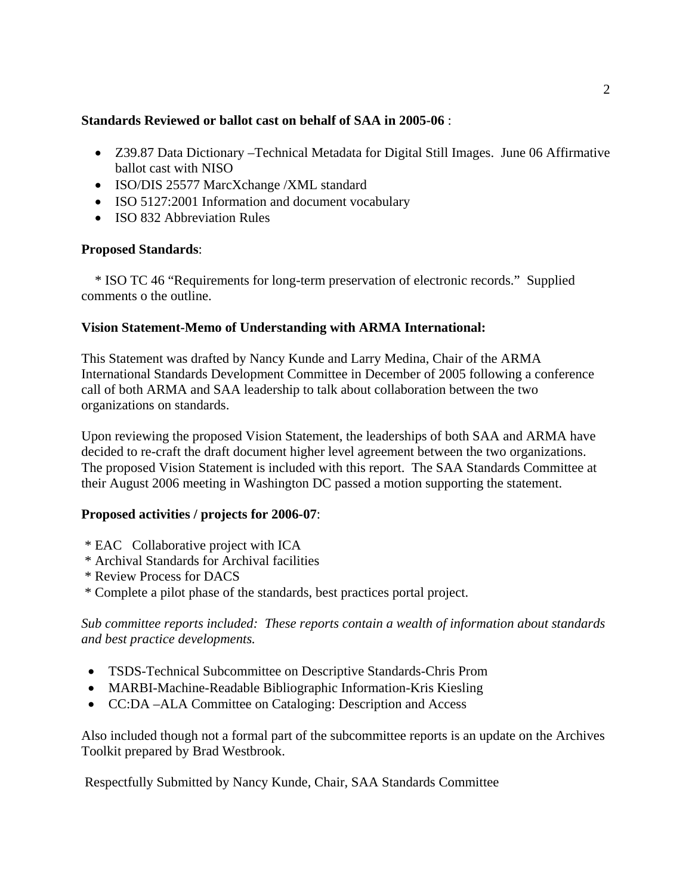### **Standards Reviewed or ballot cast on behalf of SAA in 2005-06** :

- Z39.87 Data Dictionary –Technical Metadata for Digital Still Images. June 06 Affirmative ballot cast with NISO
- ISO/DIS 25577 MarcXchange /XML standard
- ISO 5127:2001 Information and document vocabulary
- ISO 832 Abbreviation Rules

# **Proposed Standards**:

 \* ISO TC 46 "Requirements for long-term preservation of electronic records." Supplied comments o the outline.

### **Vision Statement-Memo of Understanding with ARMA International:**

This Statement was drafted by Nancy Kunde and Larry Medina, Chair of the ARMA International Standards Development Committee in December of 2005 following a conference call of both ARMA and SAA leadership to talk about collaboration between the two organizations on standards.

Upon reviewing the proposed Vision Statement, the leaderships of both SAA and ARMA have decided to re-craft the draft document higher level agreement between the two organizations. The proposed Vision Statement is included with this report. The SAA Standards Committee at their August 2006 meeting in Washington DC passed a motion supporting the statement.

### **Proposed activities / projects for 2006-07**:

- \* EAC Collaborative project with ICA
- \* Archival Standards for Archival facilities
- \* Review Process for DACS
- \* Complete a pilot phase of the standards, best practices portal project.

*Sub committee reports included: These reports contain a wealth of information about standards and best practice developments.* 

- TSDS-Technical Subcommittee on Descriptive Standards-Chris Prom
- MARBI-Machine-Readable Bibliographic Information-Kris Kiesling
- CC:DA –ALA Committee on Cataloging: Description and Access

Also included though not a formal part of the subcommittee reports is an update on the Archives Toolkit prepared by Brad Westbrook.

Respectfully Submitted by Nancy Kunde, Chair, SAA Standards Committee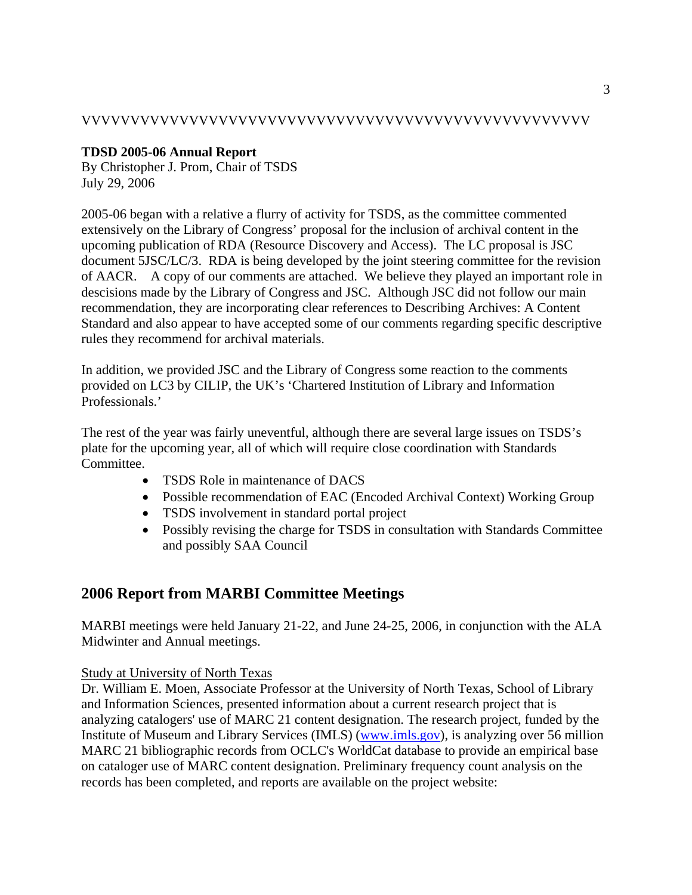### VVVVVVVVVVVVVVVVVVVVVVVVVVVVVVVVVVVVVVVVVVVVVVVVVVVV

## **TDSD 2005-06 Annual Report**

By Christopher J. Prom, Chair of TSDS July 29, 2006

2005-06 began with a relative a flurry of activity for TSDS, as the committee commented extensively on the Library of Congress' proposal for the inclusion of archival content in the upcoming publication of RDA (Resource Discovery and Access). The LC proposal is JSC document 5JSC/LC/3. RDA is being developed by the joint steering committee for the revision of AACR. A copy of our comments are attached. We believe they played an important role in descisions made by the Library of Congress and JSC. Although JSC did not follow our main recommendation, they are incorporating clear references to Describing Archives: A Content Standard and also appear to have accepted some of our comments regarding specific descriptive rules they recommend for archival materials.

In addition, we provided JSC and the Library of Congress some reaction to the comments provided on LC3 by CILIP, the UK's 'Chartered Institution of Library and Information Professionals.'

The rest of the year was fairly uneventful, although there are several large issues on TSDS's plate for the upcoming year, all of which will require close coordination with Standards Committee.

- TSDS Role in maintenance of DACS
- Possible recommendation of EAC (Encoded Archival Context) Working Group
- TSDS involvement in standard portal project
- Possibly revising the charge for TSDS in consultation with Standards Committee and possibly SAA Council

# **2006 Report from MARBI Committee Meetings**

MARBI meetings were held January 21-22, and June 24-25, 2006, in conjunction with the ALA Midwinter and Annual meetings.

Study at University of North Texas

Dr. William E. Moen, Associate Professor at the University of North Texas, School of Library and Information Sciences, presented information about a current research project that is analyzing catalogers' use of MARC 21 content designation. The research project, funded by the Institute of Museum and Library Services (IMLS) ([www.imls.gov\)](http://www.imls.gov/), is analyzing over 56 million MARC 21 bibliographic records from OCLC's WorldCat database to provide an empirical base on cataloger use of MARC content designation. Preliminary frequency count analysis on the records has been completed, and reports are available on the project website: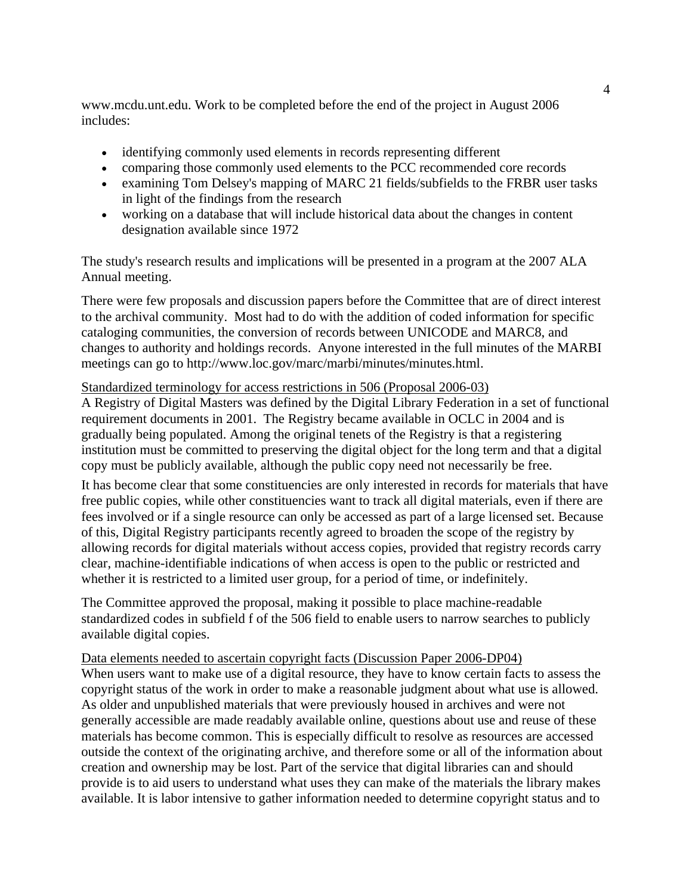www.mcdu.unt.edu. Work to be completed before the end of the project in August 2006 includes:

- identifying commonly used elements in records representing different
- comparing those commonly used elements to the PCC recommended core records
- examining Tom Delsey's mapping of MARC 21 fields/subfields to the FRBR user tasks in light of the findings from the research
- working on a database that will include historical data about the changes in content designation available since 1972

The study's research results and implications will be presented in a program at the 2007 ALA Annual meeting.

There were few proposals and discussion papers before the Committee that are of direct interest to the archival community. Most had to do with the addition of coded information for specific cataloging communities, the conversion of records between UNICODE and MARC8, and changes to authority and holdings records. Anyone interested in the full minutes of the MARBI meetings can go to http://www.loc.gov/marc/marbi/minutes/minutes.html.

### Standardized terminology for access restrictions in 506 (Proposal 2006-03)

A Registry of Digital Masters was defined by the Digital Library Federation in a set of functional requirement documents in 2001. The Registry became available in OCLC in 2004 and is gradually being populated. Among the original tenets of the Registry is that a registering institution must be committed to preserving the digital object for the long term and that a digital copy must be publicly available, although the public copy need not necessarily be free.

It has become clear that some constituencies are only interested in records for materials that have free public copies, while other constituencies want to track all digital materials, even if there are fees involved or if a single resource can only be accessed as part of a large licensed set. Because of this, Digital Registry participants recently agreed to broaden the scope of the registry by allowing records for digital materials without access copies, provided that registry records carry clear, machine-identifiable indications of when access is open to the public or restricted and whether it is restricted to a limited user group, for a period of time, or indefinitely.

The Committee approved the proposal, making it possible to place machine-readable standardized codes in subfield f of the 506 field to enable users to narrow searches to publicly available digital copies.

#### Data elements needed to ascertain copyright facts (Discussion Paper 2006-DP04)

When users want to make use of a digital resource, they have to know certain facts to assess the copyright status of the work in order to make a reasonable judgment about what use is allowed. As older and unpublished materials that were previously housed in archives and were not generally accessible are made readably available online, questions about use and reuse of these materials has become common. This is especially difficult to resolve as resources are accessed outside the context of the originating archive, and therefore some or all of the information about creation and ownership may be lost. Part of the service that digital libraries can and should provide is to aid users to understand what uses they can make of the materials the library makes available. It is labor intensive to gather information needed to determine copyright status and to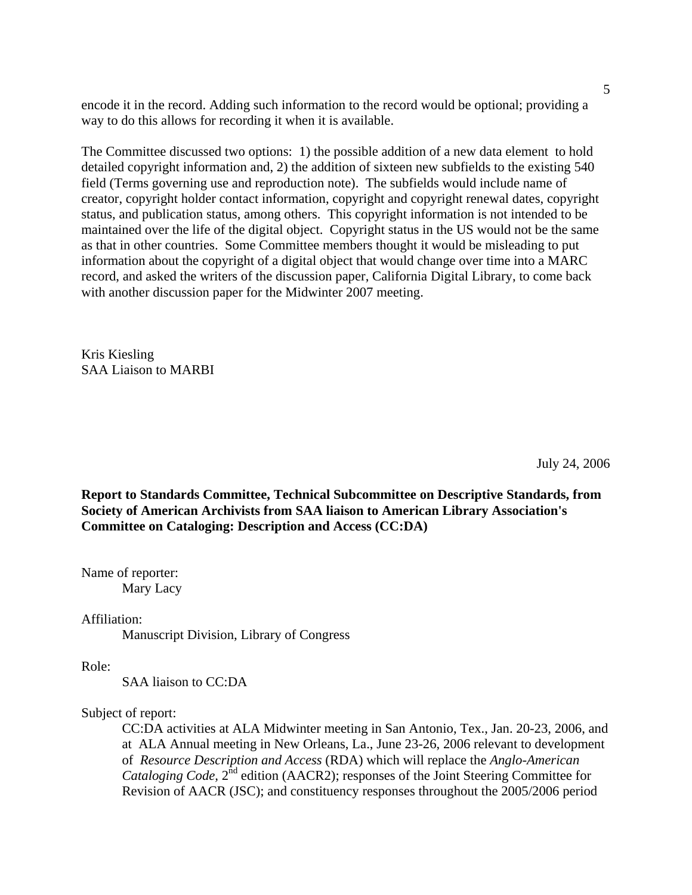encode it in the record. Adding such information to the record would be optional; providing a way to do this allows for recording it when it is available.

The Committee discussed two options: 1) the possible addition of a new data element to hold detailed copyright information and, 2) the addition of sixteen new subfields to the existing 540 field (Terms governing use and reproduction note). The subfields would include name of creator, copyright holder contact information, copyright and copyright renewal dates, copyright status, and publication status, among others. This copyright information is not intended to be maintained over the life of the digital object. Copyright status in the US would not be the same as that in other countries. Some Committee members thought it would be misleading to put information about the copyright of a digital object that would change over time into a MARC record, and asked the writers of the discussion paper, California Digital Library, to come back with another discussion paper for the Midwinter 2007 meeting.

Kris Kiesling SAA Liaison to MARBI

July 24, 2006

**Report to Standards Committee, Technical Subcommittee on Descriptive Standards, from Society of American Archivists from SAA liaison to American Library Association's Committee on Cataloging: Description and Access (CC:DA)** 

Name of reporter: Mary Lacy

Affiliation:

Manuscript Division, Library of Congress

Role:

SAA liaison to CC:DA

Subject of report:

CC:DA activities at ALA Midwinter meeting in San Antonio, Tex., Jan. 20-23, 2006, and at ALA Annual meeting in New Orleans, La., June 23-26, 2006 relevant to development of *Resource Description and Access* (RDA) which will replace the *Anglo-American Cataloging Code,*  $2^{nd}$  edition (AACR2); responses of the Joint Steering Committee for Revision of AACR (JSC); and constituency responses throughout the 2005/2006 period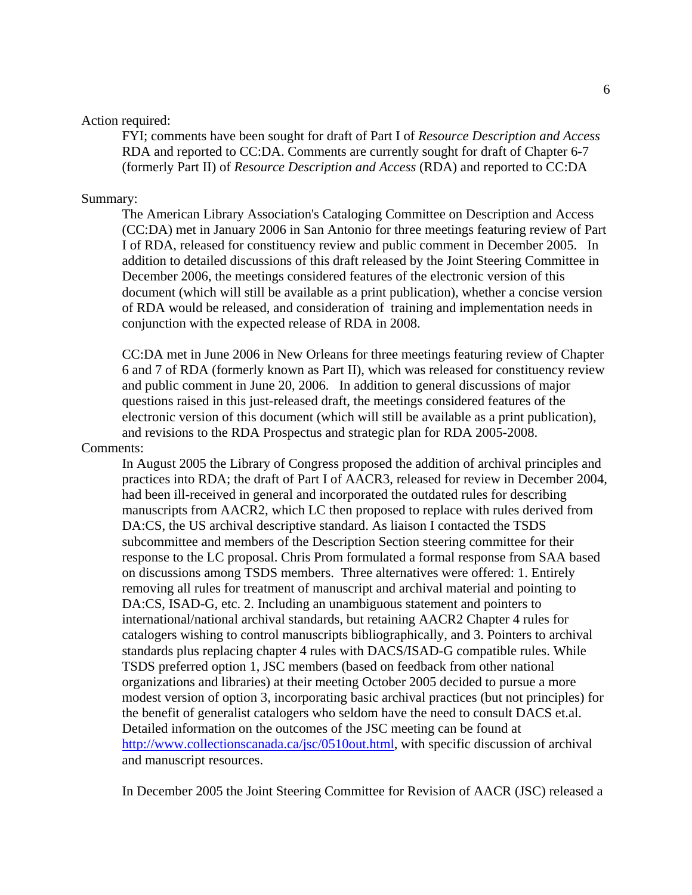#### Action required:

FYI; comments have been sought for draft of Part I of *Resource Description and Access* RDA and reported to CC:DA. Comments are currently sought for draft of Chapter 6-7 (formerly Part II) of *Resource Description and Access* (RDA) and reported to CC:DA

#### Summary:

The American Library Association's Cataloging Committee on Description and Access (CC:DA) met in January 2006 in San Antonio for three meetings featuring review of Part I of RDA, released for constituency review and public comment in December 2005. In addition to detailed discussions of this draft released by the Joint Steering Committee in December 2006, the meetings considered features of the electronic version of this document (which will still be available as a print publication), whether a concise version of RDA would be released, and consideration of training and implementation needs in conjunction with the expected release of RDA in 2008.

CC:DA met in June 2006 in New Orleans for three meetings featuring review of Chapter 6 and 7 of RDA (formerly known as Part II), which was released for constituency review and public comment in June 20, 2006. In addition to general discussions of major questions raised in this just-released draft, the meetings considered features of the electronic version of this document (which will still be available as a print publication), and revisions to the RDA Prospectus and strategic plan for RDA 2005-2008.

#### Comments:

In August 2005 the Library of Congress proposed the addition of archival principles and practices into RDA; the draft of Part I of AACR3, released for review in December 2004, had been ill-received in general and incorporated the outdated rules for describing manuscripts from AACR2, which LC then proposed to replace with rules derived from DA:CS, the US archival descriptive standard. As liaison I contacted the TSDS subcommittee and members of the Description Section steering committee for their response to the LC proposal. Chris Prom formulated a formal response from SAA based on discussions among TSDS members. Three alternatives were offered: 1. Entirely removing all rules for treatment of manuscript and archival material and pointing to DA:CS, ISAD-G, etc. 2. Including an unambiguous statement and pointers to international/national archival standards, but retaining AACR2 Chapter 4 rules for catalogers wishing to control manuscripts bibliographically, and 3. Pointers to archival standards plus replacing chapter 4 rules with DACS/ISAD-G compatible rules. While TSDS preferred option 1, JSC members (based on feedback from other national organizations and libraries) at their meeting October 2005 decided to pursue a more modest version of option 3, incorporating basic archival practices (but not principles) for the benefit of generalist catalogers who seldom have the need to consult DACS et.al. Detailed information on the outcomes of the JSC meeting can be found at [http://www.collectionscanada.ca/jsc/0510out.html,](http://www.collectionscanada.ca/jsc/0510out.html) with specific discussion of archival and manuscript resources.

In December 2005 the Joint Steering Committee for Revision of AACR (JSC) released a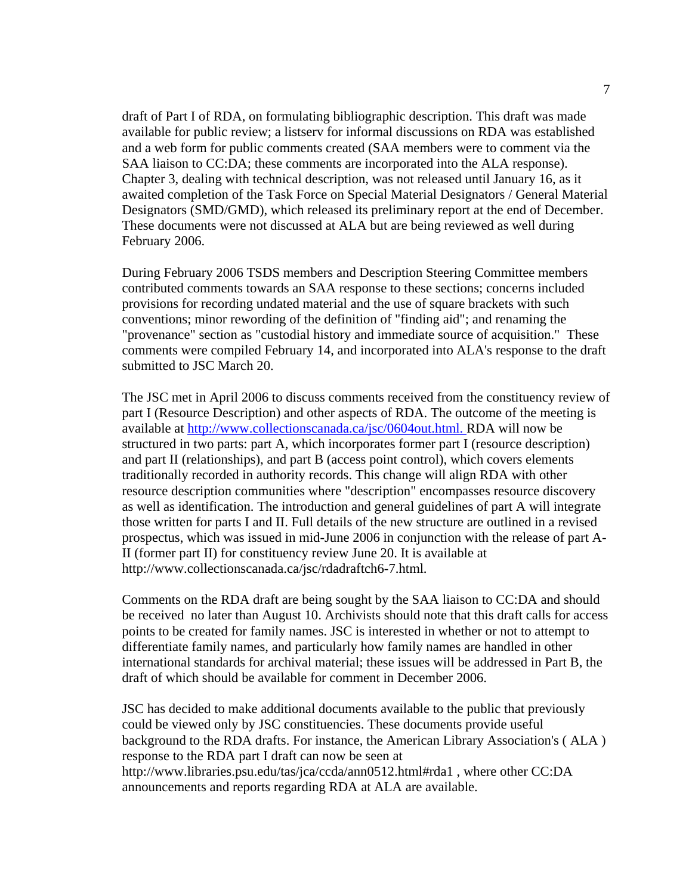draft of Part I of RDA, on formulating bibliographic description. This draft was made available for public review; a listserv for informal discussions on RDA was established and a web form for public comments created (SAA members were to comment via the SAA liaison to CC:DA; these comments are incorporated into the ALA response). Chapter 3, dealing with technical description, was not released until January 16, as it awaited completion of the Task Force on Special Material Designators / General Material Designators (SMD/GMD), which released its preliminary report at the end of December. These documents were not discussed at ALA but are being reviewed as well during February 2006.

During February 2006 TSDS members and Description Steering Committee members contributed comments towards an SAA response to these sections; concerns included provisions for recording undated material and the use of square brackets with such conventions; minor rewording of the definition of "finding aid"; and renaming the "provenance" section as "custodial history and immediate source of acquisition." These comments were compiled February 14, and incorporated into ALA's response to the draft submitted to JSC March 20.

The JSC met in April 2006 to discuss comments received from the constituency review of part I (Resource Description) and other aspects of RDA. The outcome of the meeting is available at [http://www.collectionscanada.ca/jsc/0604out.html.](http://www.collectionscanada.ca/jsc/0604out.html) RDA will now be structured in two parts: part A, which incorporates former part I (resource description) and part II (relationships), and part B (access point control), which covers elements traditionally recorded in authority records. This change will align RDA with other resource description communities where "description" encompasses resource discovery as well as identification. The introduction and general guidelines of part A will integrate those written for parts I and II. Full details of the new structure are outlined in a revised prospectus, which was issued in mid-June 2006 in conjunction with the release of part A-II (former part II) for constituency review June 20. It is available at [http://www.collectionscanada.ca/jsc/rdadraftch6-7.html.](http://www.collectionscanada.ca/jsc/rdadraftch6-7.html)

Comments on the RDA draft are being sought by the SAA liaison to CC:DA and should be received no later than August 10. Archivists should note that this draft calls for access points to be created for family names. JSC is interested in whether or not to attempt to differentiate family names, and particularly how family names are handled in other international standards for archival material; these issues will be addressed in Part B, the draft of which should be available for comment in December 2006.

JSC has decided to make additional documents available to the public that previously could be viewed only by JSC constituencies. These documents provide useful background to the RDA drafts. For instance, the American Library Association's ( ALA ) response to the RDA part I draft can now be seen at [http://www.libraries.psu.edu/tas/jca/ccda/ann0512.html#rda1](http://www.libraries.psu.edu/tas/jca/ccda/ann0512.html%23rda1) , where other CC:DA announcements and reports regarding RDA at ALA are available.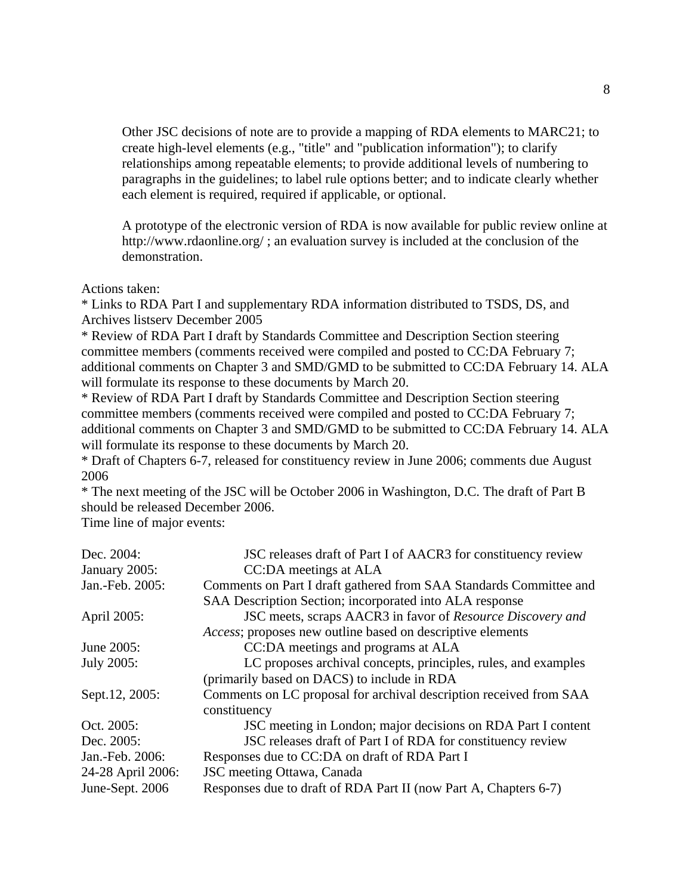Other JSC decisions of note are to provide a mapping of RDA elements to MARC21; to create high-level elements (e.g., "title" and "publication information"); to clarify relationships among repeatable elements; to provide additional levels of numbering to paragraphs in the guidelines; to label rule options better; and to indicate clearly whether each element is required, required if applicable, or optional.

A prototype of the electronic version of RDA is now available for public review online at <http://www.rdaonline.org/>; an evaluation survey is included at the conclusion of the demonstration.

Actions taken:

\* Links to RDA Part I and supplementary RDA information distributed to TSDS, DS, and Archives listserv December 2005

\* Review of RDA Part I draft by Standards Committee and Description Section steering committee members (comments received were compiled and posted to CC:DA February 7; additional comments on Chapter 3 and SMD/GMD to be submitted to CC:DA February 14. ALA will formulate its response to these documents by March 20.

\* Review of RDA Part I draft by Standards Committee and Description Section steering committee members (comments received were compiled and posted to CC:DA February 7; additional comments on Chapter 3 and SMD/GMD to be submitted to CC:DA February 14. ALA will formulate its response to these documents by March 20.

\* Draft of Chapters 6-7, released for constituency review in June 2006; comments due August 2006

\* The next meeting of the JSC will be October 2006 in Washington, D.C. The draft of Part B should be released December 2006.

Time line of major events:

| Dec. 2004:        | JSC releases draft of Part I of AACR3 for constituency review      |
|-------------------|--------------------------------------------------------------------|
| January 2005:     | CC:DA meetings at ALA                                              |
| Jan.-Feb. 2005:   | Comments on Part I draft gathered from SAA Standards Committee and |
|                   | SAA Description Section; incorporated into ALA response            |
| April 2005:       | JSC meets, scraps AACR3 in favor of Resource Discovery and         |
|                   | <i>Access</i> ; proposes new outline based on descriptive elements |
| June 2005:        | CC:DA meetings and programs at ALA                                 |
| July 2005:        | LC proposes archival concepts, principles, rules, and examples     |
|                   | (primarily based on DACS) to include in RDA                        |
| Sept.12, 2005:    | Comments on LC proposal for archival description received from SAA |
|                   | constituency                                                       |
| Oct. 2005:        | JSC meeting in London; major decisions on RDA Part I content       |
| Dec. 2005:        | JSC releases draft of Part I of RDA for constituency review        |
| Jan.-Feb. 2006:   | Responses due to CC:DA on draft of RDA Part I                      |
| 24-28 April 2006: | JSC meeting Ottawa, Canada                                         |
| June-Sept. 2006   | Responses due to draft of RDA Part II (now Part A, Chapters 6-7)   |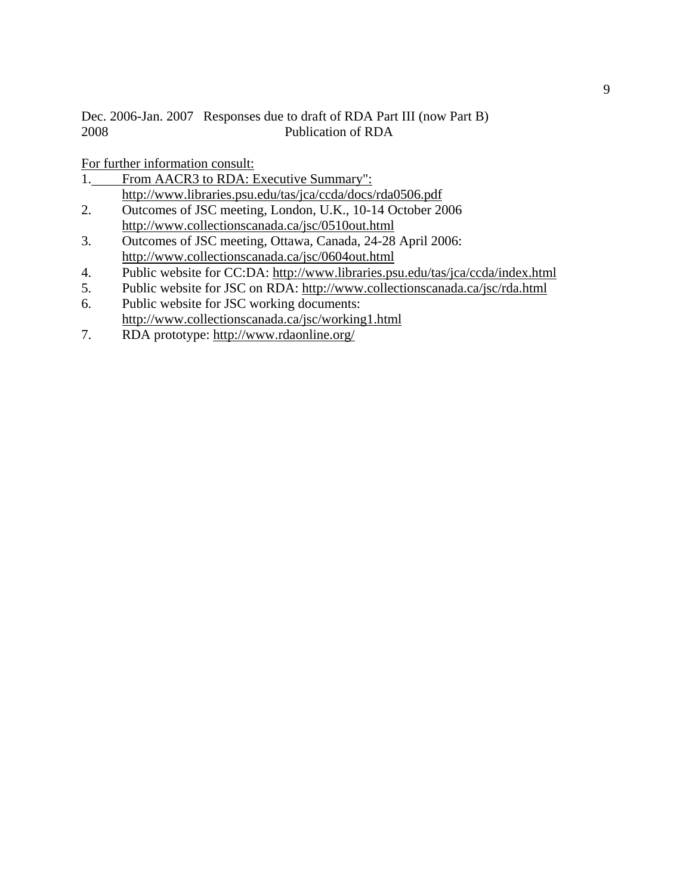Dec. 2006-Jan. 2007 Responses due to draft of RDA Part III (now Part B) 2008 Publication of RDA

For further information consult:

- 1. From AACR3 to RDA: Executive Summary": <http://www.libraries.psu.edu/tas/jca/ccda/docs/rda0506.pdf>
- 2. Outcomes of JSC meeting, London, U.K., 10-14 October 2006 <http://www.collectionscanada.ca/jsc/0510out.html>
- 3. Outcomes of JSC meeting, Ottawa, Canada, 24-28 April 2006: <http://www.collectionscanada.ca/jsc/0604out.html>
- 4. Public website for CC:DA:<http://www.libraries.psu.edu/tas/jca/ccda/index.html>
- 5. Public website for JSC on RDA:<http://www.collectionscanada.ca/jsc/rda.html>
- 6. Public website for JSC working documents: <http://www.collectionscanada.ca/jsc/working1.html>
- 7. RDA prototype: <http://www.rdaonline.org/>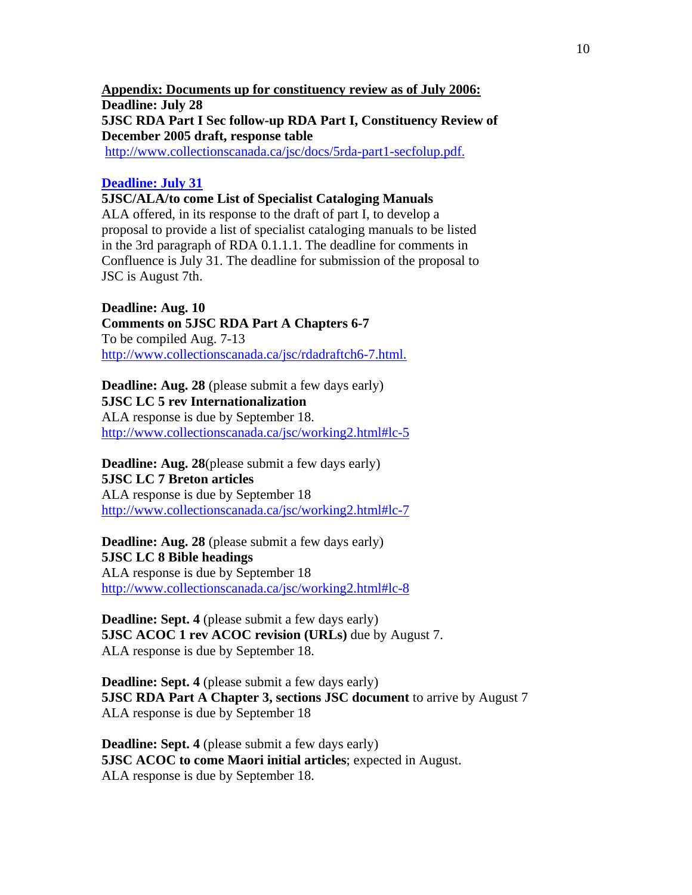**Appendix: Documents up for constituency review as of July 2006: Deadline: July 28 5JSC RDA Part I Sec follow-up RDA Part I, Constituency Review of December 2005 draft, response table** [http://www.collectionscanada.ca/jsc/docs/5rda-part1-secfolup.pdf.](http://www.collectionscanada.ca/jsc/docs/5rda-part1-secfolup.pdf)

#### **Deadline: July 31**

**5JSC/ALA/to come List of Specialist Cataloging Manuals**

ALA offered, in its response to the draft of part I, to develop a proposal to provide a list of specialist cataloging manuals to be listed in the 3rd paragraph of RDA 0.1.1.1. The deadline for comments in Confluence is July 31. The deadline for submission of the proposal to JSC is August 7th.

**Deadline: Aug. 10** 

**Comments on 5JSC RDA Part A Chapters 6-7** To be compiled Aug. 7-13 [http://www.collectionscanada.ca/jsc/rdadraftch6-7.html.](http://www.collectionscanada.ca/jsc/rdadraftch6-7.html)

**Deadline: Aug. 28** (please submit a few days early) **5JSC LC 5 rev Internationalization**  ALA response is due by September 18. [http://www.collectionscanada.ca/jsc/working2.html#lc-5](http://www.collectionscanada.ca/jsc/working2.html)

**Deadline: Aug. 28**(please submit a few days early) **5JSC LC 7 Breton articles** ALA response is due by September 18 [http://www.collectionscanada.ca/jsc/working2.html#lc-7](http://www.collectionscanada.ca/jsc/working2.html)

**Deadline: Aug. 28** (please submit a few days early) **5JSC LC 8 Bible headings** ALA response is due by September 18 [http://www.collectionscanada.ca/jsc/working2.html#lc-8](http://www.collectionscanada.ca/jsc/working2.html)

**Deadline: Sept. 4** (please submit a few days early) **5JSC ACOC 1 rev ACOC revision (URLs)** due by August 7. ALA response is due by September 18.

**Deadline: Sept. 4** (please submit a few days early) **5JSC RDA Part A Chapter 3, sections JSC document** to arrive by August 7 ALA response is due by September 18

**Deadline: Sept. 4** (please submit a few days early) **5JSC ACOC to come Maori initial articles**; expected in August. ALA response is due by September 18.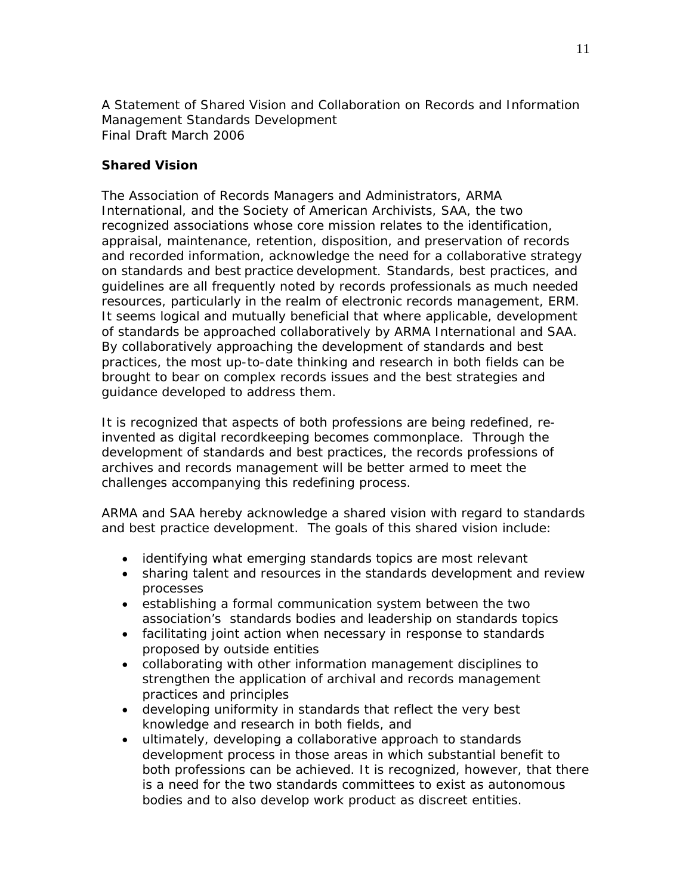*A Statement of Shared Vision and Collaboration on Records and Information Management Standards Development*  Final Draft March 2006

### **Shared Vision**

The Association of Records Managers and Administrators, ARMA International, and the Society of American Archivists, SAA, the two recognized associations whose core mission relates to the identification, appraisal, maintenance, retention, disposition, and preservation of records and recorded information, acknowledge the need for a collaborative strategy on standards and best practice development. Standards, best practices, and guidelines are all frequently noted by records professionals as much needed resources, particularly in the realm of electronic records management, ERM. It seems logical and mutually beneficial that where applicable, development of standards be approached collaboratively by ARMA International and SAA. By collaboratively approaching the development of standards and best practices, the most up-to-date thinking and research in both fields can be brought to bear on complex records issues and the best strategies and guidance developed to address them.

It is recognized that aspects of both professions are being redefined, reinvented as digital recordkeeping becomes commonplace. Through the development of standards and best practices, the records professions of archives and records management will be better armed to meet the challenges accompanying this redefining process.

ARMA and SAA hereby acknowledge a shared vision with regard to standards and best practice development. The goals of this shared vision include:

- identifying what emerging standards topics are most relevant
- sharing talent and resources in the standards development and review processes
- establishing a formal communication system between the two association's standards bodies and leadership on standards topics
- facilitating joint action when necessary in response to standards proposed by outside entities
- collaborating with other information management disciplines to strengthen the application of archival and records management practices and principles
- developing uniformity in standards that reflect the very best knowledge and research in both fields, and
- ultimately, developing a collaborative approach to standards development process in those areas in which substantial benefit to both professions can be achieved. It is recognized, however, that there is a need for the two standards committees to exist as autonomous bodies and to also develop work product as discreet entities.